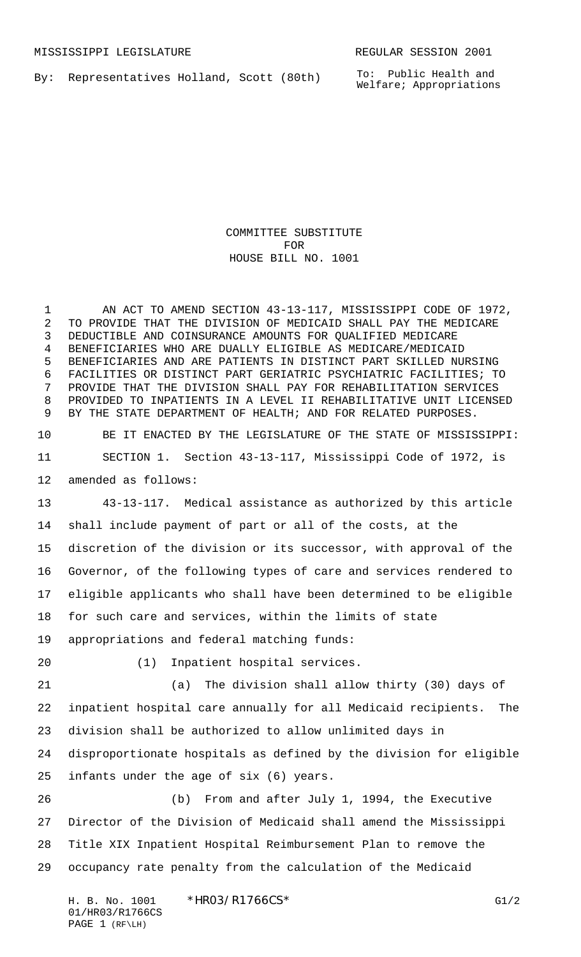By: Representatives Holland, Scott (80th)

To: Public Health and Welfare; Appropriations

COMMITTEE SUBSTITUTE FOR HOUSE BILL NO. 1001

1 AN ACT TO AMEND SECTION 43-13-117, MISSISSIPPI CODE OF 1972, TO PROVIDE THAT THE DIVISION OF MEDICAID SHALL PAY THE MEDICARE DEDUCTIBLE AND COINSURANCE AMOUNTS FOR QUALIFIED MEDICARE BENEFICIARIES WHO ARE DUALLY ELIGIBLE AS MEDICARE/MEDICAID BENEFICIARIES AND ARE PATIENTS IN DISTINCT PART SKILLED NURSING FACILITIES OR DISTINCT PART GERIATRIC PSYCHIATRIC FACILITIES; TO PROVIDE THAT THE DIVISION SHALL PAY FOR REHABILITATION SERVICES PROVIDED TO INPATIENTS IN A LEVEL II REHABILITATIVE UNIT LICENSED BY THE STATE DEPARTMENT OF HEALTH; AND FOR RELATED PURPOSES.

 BE IT ENACTED BY THE LEGISLATURE OF THE STATE OF MISSISSIPPI: SECTION 1. Section 43-13-117, Mississippi Code of 1972, is amended as follows:

 43-13-117. Medical assistance as authorized by this article shall include payment of part or all of the costs, at the discretion of the division or its successor, with approval of the Governor, of the following types of care and services rendered to eligible applicants who shall have been determined to be eligible for such care and services, within the limits of state appropriations and federal matching funds:

(1) Inpatient hospital services.

 (a) The division shall allow thirty (30) days of inpatient hospital care annually for all Medicaid recipients. The division shall be authorized to allow unlimited days in disproportionate hospitals as defined by the division for eligible infants under the age of six (6) years.

 (b) From and after July 1, 1994, the Executive Director of the Division of Medicaid shall amend the Mississippi Title XIX Inpatient Hospital Reimbursement Plan to remove the occupancy rate penalty from the calculation of the Medicaid

H. B. No. 1001 \*HRO3/R1766CS\* G1/2 01/HR03/R1766CS PAGE 1 (RF\LH)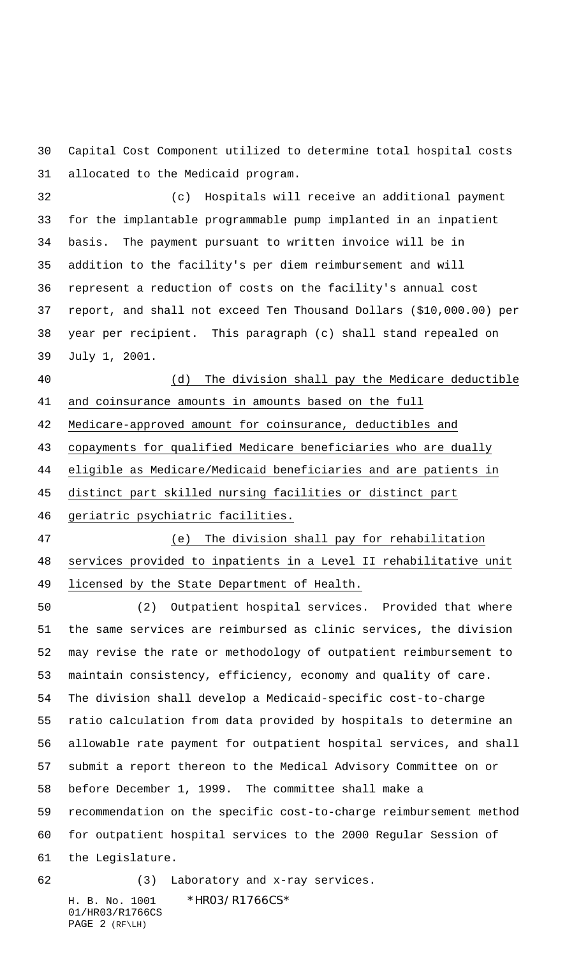Capital Cost Component utilized to determine total hospital costs allocated to the Medicaid program.

 (c) Hospitals will receive an additional payment for the implantable programmable pump implanted in an inpatient basis. The payment pursuant to written invoice will be in addition to the facility's per diem reimbursement and will represent a reduction of costs on the facility's annual cost report, and shall not exceed Ten Thousand Dollars (\$10,000.00) per year per recipient. This paragraph (c) shall stand repealed on July 1, 2001.

## (d) The division shall pay the Medicare deductible

and coinsurance amounts in amounts based on the full

Medicare-approved amount for coinsurance, deductibles and

copayments for qualified Medicare beneficiaries who are dually

eligible as Medicare/Medicaid beneficiaries and are patients in

distinct part skilled nursing facilities or distinct part

geriatric psychiatric facilities.

 (e) The division shall pay for rehabilitation services provided to inpatients in a Level II rehabilitative unit licensed by the State Department of Health.

 (2) Outpatient hospital services. Provided that where the same services are reimbursed as clinic services, the division may revise the rate or methodology of outpatient reimbursement to maintain consistency, efficiency, economy and quality of care. The division shall develop a Medicaid-specific cost-to-charge ratio calculation from data provided by hospitals to determine an allowable rate payment for outpatient hospital services, and shall submit a report thereon to the Medical Advisory Committee on or before December 1, 1999. The committee shall make a recommendation on the specific cost-to-charge reimbursement method for outpatient hospital services to the 2000 Regular Session of the Legislature.

H. B. No. 1001 \*HRO3/R1766CS\* (3) Laboratory and x-ray services.

01/HR03/R1766CS PAGE 2 (RF\LH)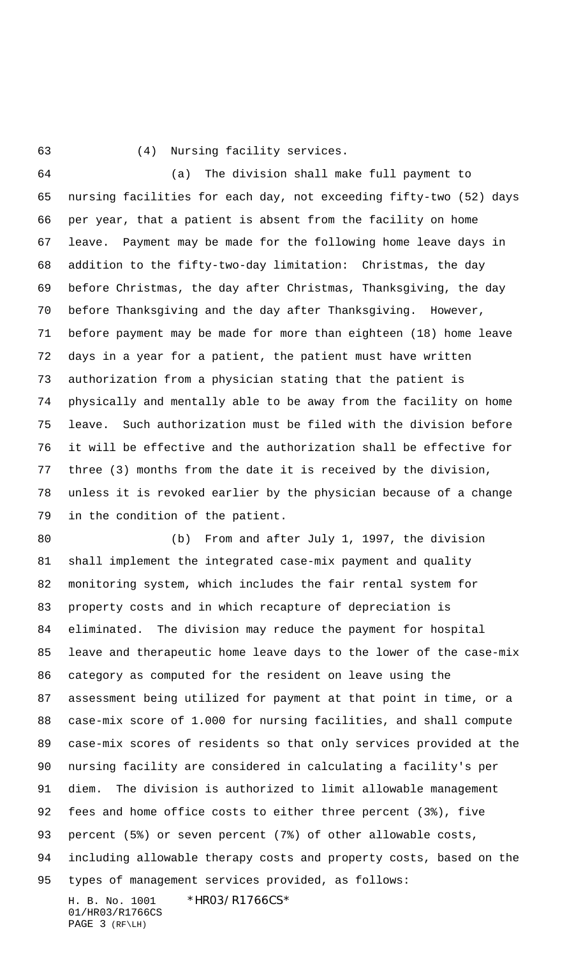(4) Nursing facility services.

 (a) The division shall make full payment to nursing facilities for each day, not exceeding fifty-two (52) days per year, that a patient is absent from the facility on home leave. Payment may be made for the following home leave days in addition to the fifty-two-day limitation: Christmas, the day before Christmas, the day after Christmas, Thanksgiving, the day before Thanksgiving and the day after Thanksgiving. However, before payment may be made for more than eighteen (18) home leave days in a year for a patient, the patient must have written authorization from a physician stating that the patient is physically and mentally able to be away from the facility on home leave. Such authorization must be filed with the division before it will be effective and the authorization shall be effective for three (3) months from the date it is received by the division, unless it is revoked earlier by the physician because of a change in the condition of the patient.

H. B. No. 1001 \*HR03/R1766CS\* (b) From and after July 1, 1997, the division shall implement the integrated case-mix payment and quality monitoring system, which includes the fair rental system for property costs and in which recapture of depreciation is eliminated. The division may reduce the payment for hospital leave and therapeutic home leave days to the lower of the case-mix category as computed for the resident on leave using the assessment being utilized for payment at that point in time, or a case-mix score of 1.000 for nursing facilities, and shall compute case-mix scores of residents so that only services provided at the nursing facility are considered in calculating a facility's per diem. The division is authorized to limit allowable management fees and home office costs to either three percent (3%), five percent (5%) or seven percent (7%) of other allowable costs, including allowable therapy costs and property costs, based on the types of management services provided, as follows:

01/HR03/R1766CS PAGE 3 (RF\LH)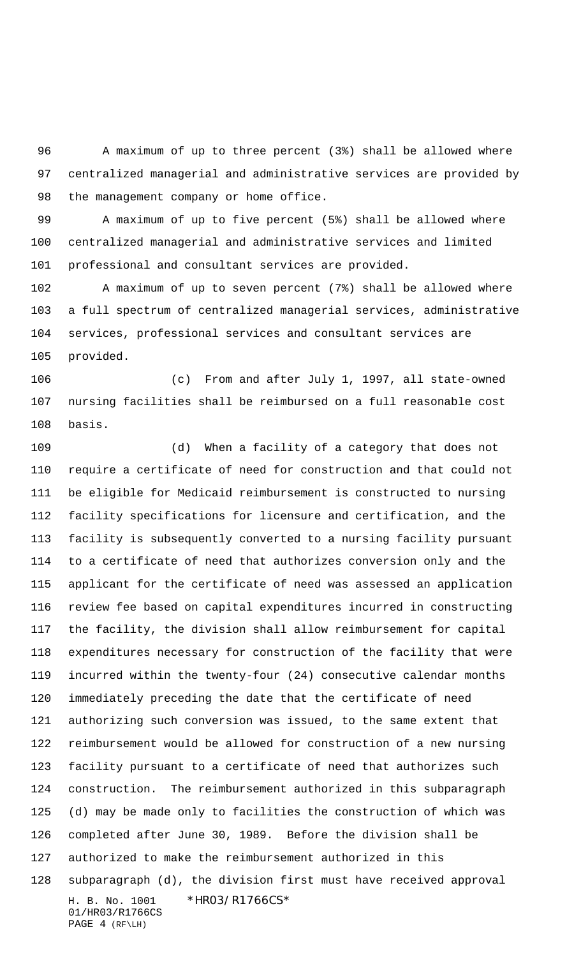A maximum of up to three percent (3%) shall be allowed where centralized managerial and administrative services are provided by 98 the management company or home office.

 A maximum of up to five percent (5%) shall be allowed where centralized managerial and administrative services and limited professional and consultant services are provided.

 A maximum of up to seven percent (7%) shall be allowed where a full spectrum of centralized managerial services, administrative services, professional services and consultant services are provided.

 (c) From and after July 1, 1997, all state-owned nursing facilities shall be reimbursed on a full reasonable cost basis.

H. B. No. 1001 \*HR03/R1766CS\* 01/HR03/R1766CS PAGE 4 (RF\LH) (d) When a facility of a category that does not require a certificate of need for construction and that could not be eligible for Medicaid reimbursement is constructed to nursing facility specifications for licensure and certification, and the facility is subsequently converted to a nursing facility pursuant to a certificate of need that authorizes conversion only and the applicant for the certificate of need was assessed an application review fee based on capital expenditures incurred in constructing the facility, the division shall allow reimbursement for capital expenditures necessary for construction of the facility that were incurred within the twenty-four (24) consecutive calendar months immediately preceding the date that the certificate of need authorizing such conversion was issued, to the same extent that reimbursement would be allowed for construction of a new nursing facility pursuant to a certificate of need that authorizes such construction. The reimbursement authorized in this subparagraph (d) may be made only to facilities the construction of which was completed after June 30, 1989. Before the division shall be authorized to make the reimbursement authorized in this subparagraph (d), the division first must have received approval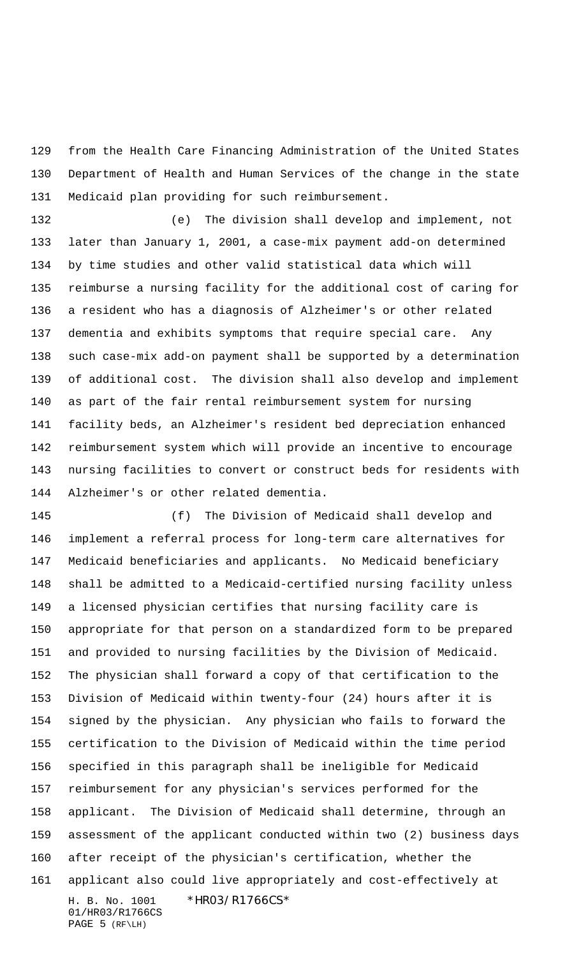from the Health Care Financing Administration of the United States Department of Health and Human Services of the change in the state Medicaid plan providing for such reimbursement.

 (e) The division shall develop and implement, not later than January 1, 2001, a case-mix payment add-on determined by time studies and other valid statistical data which will reimburse a nursing facility for the additional cost of caring for a resident who has a diagnosis of Alzheimer's or other related dementia and exhibits symptoms that require special care. Any such case-mix add-on payment shall be supported by a determination of additional cost. The division shall also develop and implement as part of the fair rental reimbursement system for nursing facility beds, an Alzheimer's resident bed depreciation enhanced reimbursement system which will provide an incentive to encourage nursing facilities to convert or construct beds for residents with Alzheimer's or other related dementia.

H. B. No. 1001 \*HR03/R1766CS\* 01/HR03/R1766CS (f) The Division of Medicaid shall develop and implement a referral process for long-term care alternatives for Medicaid beneficiaries and applicants. No Medicaid beneficiary shall be admitted to a Medicaid-certified nursing facility unless a licensed physician certifies that nursing facility care is appropriate for that person on a standardized form to be prepared and provided to nursing facilities by the Division of Medicaid. The physician shall forward a copy of that certification to the Division of Medicaid within twenty-four (24) hours after it is signed by the physician. Any physician who fails to forward the certification to the Division of Medicaid within the time period specified in this paragraph shall be ineligible for Medicaid reimbursement for any physician's services performed for the applicant. The Division of Medicaid shall determine, through an assessment of the applicant conducted within two (2) business days after receipt of the physician's certification, whether the applicant also could live appropriately and cost-effectively at

PAGE 5 (RF\LH)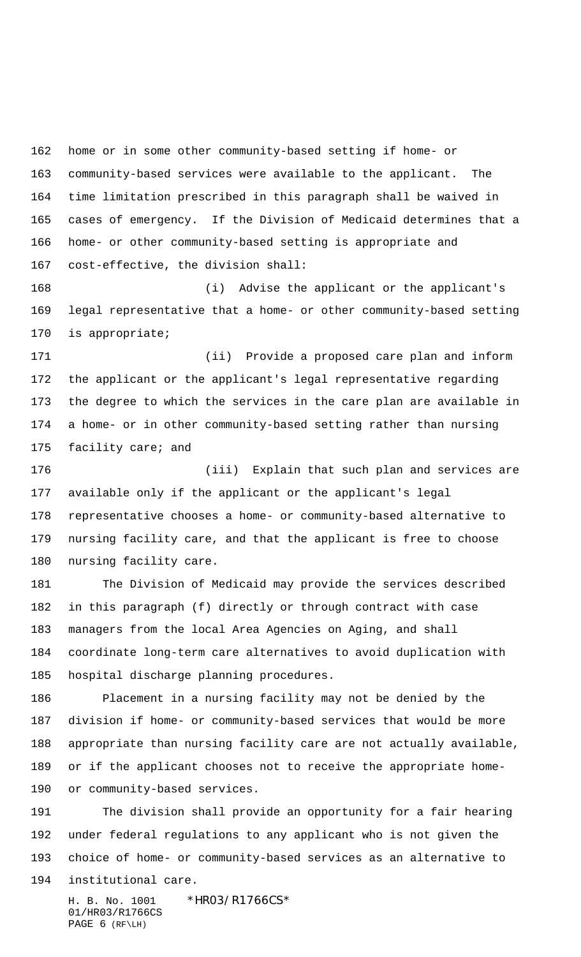home or in some other community-based setting if home- or community-based services were available to the applicant. The time limitation prescribed in this paragraph shall be waived in cases of emergency. If the Division of Medicaid determines that a home- or other community-based setting is appropriate and cost-effective, the division shall:

 (i) Advise the applicant or the applicant's legal representative that a home- or other community-based setting is appropriate;

 (ii) Provide a proposed care plan and inform the applicant or the applicant's legal representative regarding the degree to which the services in the care plan are available in a home- or in other community-based setting rather than nursing facility care; and

 (iii) Explain that such plan and services are available only if the applicant or the applicant's legal representative chooses a home- or community-based alternative to nursing facility care, and that the applicant is free to choose nursing facility care.

 The Division of Medicaid may provide the services described in this paragraph (f) directly or through contract with case managers from the local Area Agencies on Aging, and shall coordinate long-term care alternatives to avoid duplication with hospital discharge planning procedures.

 Placement in a nursing facility may not be denied by the division if home- or community-based services that would be more appropriate than nursing facility care are not actually available, or if the applicant chooses not to receive the appropriate home-or community-based services.

 The division shall provide an opportunity for a fair hearing under federal regulations to any applicant who is not given the choice of home- or community-based services as an alternative to institutional care.

H. B. No. 1001 \*HRO3/R1766CS\* 01/HR03/R1766CS PAGE 6 (RF\LH)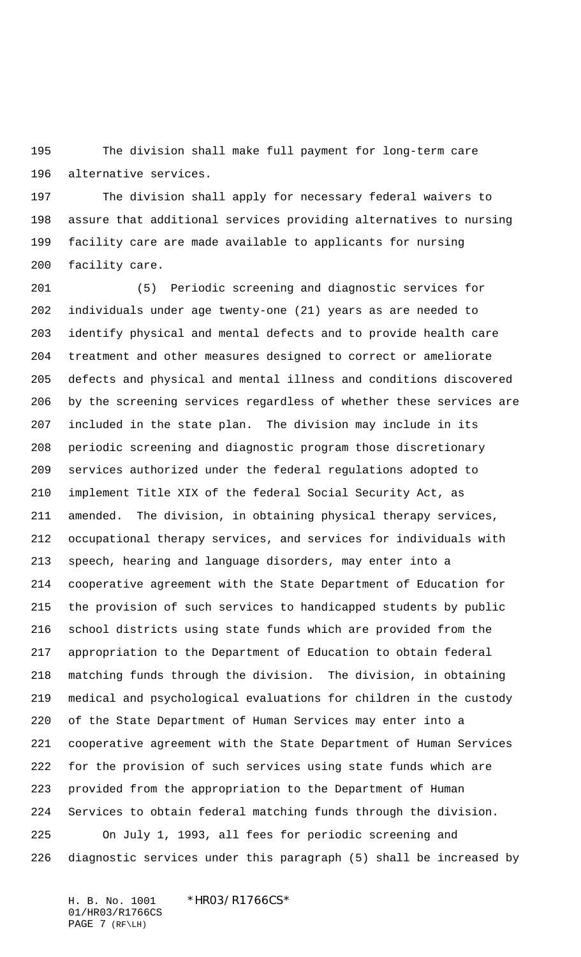The division shall make full payment for long-term care alternative services.

 The division shall apply for necessary federal waivers to assure that additional services providing alternatives to nursing facility care are made available to applicants for nursing facility care.

 (5) Periodic screening and diagnostic services for individuals under age twenty-one (21) years as are needed to identify physical and mental defects and to provide health care treatment and other measures designed to correct or ameliorate defects and physical and mental illness and conditions discovered by the screening services regardless of whether these services are included in the state plan. The division may include in its periodic screening and diagnostic program those discretionary services authorized under the federal regulations adopted to implement Title XIX of the federal Social Security Act, as amended. The division, in obtaining physical therapy services, occupational therapy services, and services for individuals with speech, hearing and language disorders, may enter into a cooperative agreement with the State Department of Education for the provision of such services to handicapped students by public school districts using state funds which are provided from the appropriation to the Department of Education to obtain federal matching funds through the division. The division, in obtaining medical and psychological evaluations for children in the custody of the State Department of Human Services may enter into a cooperative agreement with the State Department of Human Services for the provision of such services using state funds which are provided from the appropriation to the Department of Human Services to obtain federal matching funds through the division. On July 1, 1993, all fees for periodic screening and diagnostic services under this paragraph (5) shall be increased by

H. B. No. 1001 \*HR03/R1766CS\* 01/HR03/R1766CS PAGE 7 (RF\LH)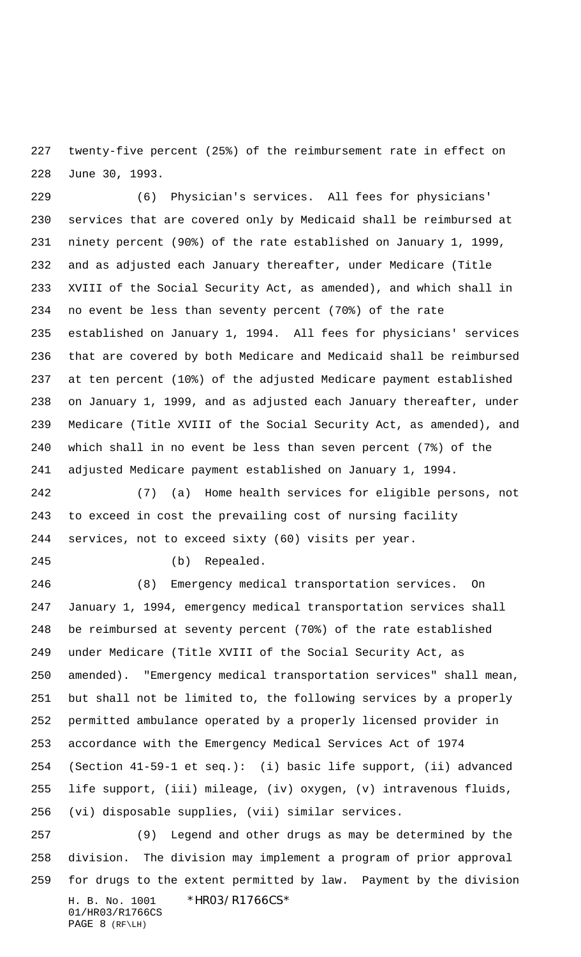twenty-five percent (25%) of the reimbursement rate in effect on June 30, 1993.

 (6) Physician's services. All fees for physicians' services that are covered only by Medicaid shall be reimbursed at ninety percent (90%) of the rate established on January 1, 1999, and as adjusted each January thereafter, under Medicare (Title XVIII of the Social Security Act, as amended), and which shall in no event be less than seventy percent (70%) of the rate established on January 1, 1994. All fees for physicians' services that are covered by both Medicare and Medicaid shall be reimbursed at ten percent (10%) of the adjusted Medicare payment established on January 1, 1999, and as adjusted each January thereafter, under Medicare (Title XVIII of the Social Security Act, as amended), and which shall in no event be less than seven percent (7%) of the adjusted Medicare payment established on January 1, 1994.

 (7) (a) Home health services for eligible persons, not to exceed in cost the prevailing cost of nursing facility services, not to exceed sixty (60) visits per year.

(b) Repealed.

 (8) Emergency medical transportation services. On January 1, 1994, emergency medical transportation services shall be reimbursed at seventy percent (70%) of the rate established under Medicare (Title XVIII of the Social Security Act, as amended). "Emergency medical transportation services" shall mean, but shall not be limited to, the following services by a properly permitted ambulance operated by a properly licensed provider in accordance with the Emergency Medical Services Act of 1974 (Section 41-59-1 et seq.): (i) basic life support, (ii) advanced life support, (iii) mileage, (iv) oxygen, (v) intravenous fluids, (vi) disposable supplies, (vii) similar services.

H. B. No. 1001 \*HR03/R1766CS\* 01/HR03/R1766CS PAGE 8 (RF\LH) (9) Legend and other drugs as may be determined by the division. The division may implement a program of prior approval for drugs to the extent permitted by law. Payment by the division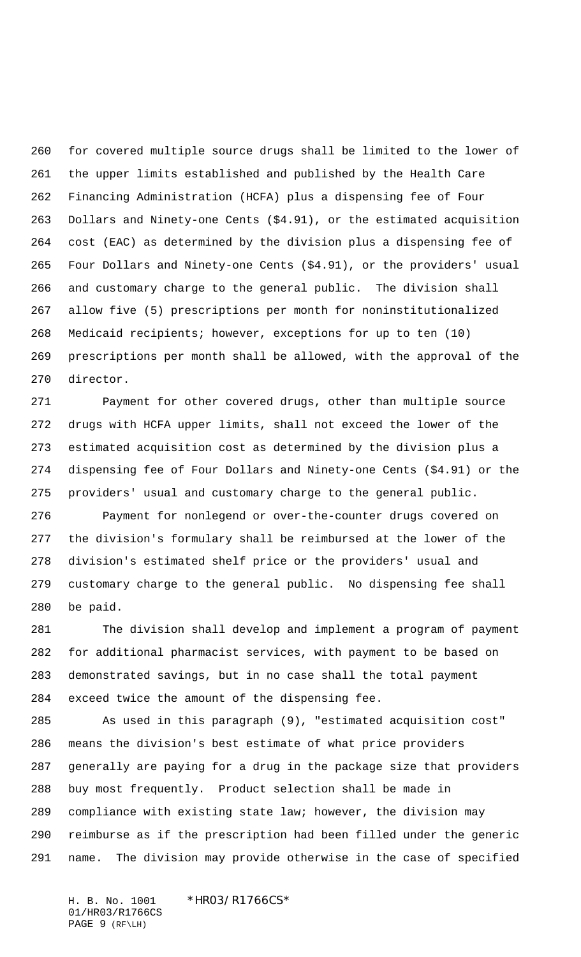for covered multiple source drugs shall be limited to the lower of the upper limits established and published by the Health Care Financing Administration (HCFA) plus a dispensing fee of Four Dollars and Ninety-one Cents (\$4.91), or the estimated acquisition cost (EAC) as determined by the division plus a dispensing fee of Four Dollars and Ninety-one Cents (\$4.91), or the providers' usual and customary charge to the general public. The division shall allow five (5) prescriptions per month for noninstitutionalized Medicaid recipients; however, exceptions for up to ten (10) prescriptions per month shall be allowed, with the approval of the director.

 Payment for other covered drugs, other than multiple source drugs with HCFA upper limits, shall not exceed the lower of the estimated acquisition cost as determined by the division plus a dispensing fee of Four Dollars and Ninety-one Cents (\$4.91) or the providers' usual and customary charge to the general public.

 Payment for nonlegend or over-the-counter drugs covered on the division's formulary shall be reimbursed at the lower of the division's estimated shelf price or the providers' usual and customary charge to the general public. No dispensing fee shall be paid.

 The division shall develop and implement a program of payment for additional pharmacist services, with payment to be based on demonstrated savings, but in no case shall the total payment exceed twice the amount of the dispensing fee.

 As used in this paragraph (9), "estimated acquisition cost" means the division's best estimate of what price providers generally are paying for a drug in the package size that providers buy most frequently. Product selection shall be made in compliance with existing state law; however, the division may reimburse as if the prescription had been filled under the generic name. The division may provide otherwise in the case of specified

H. B. No. 1001 \*HRO3/R1766CS\* 01/HR03/R1766CS PAGE 9 (RF\LH)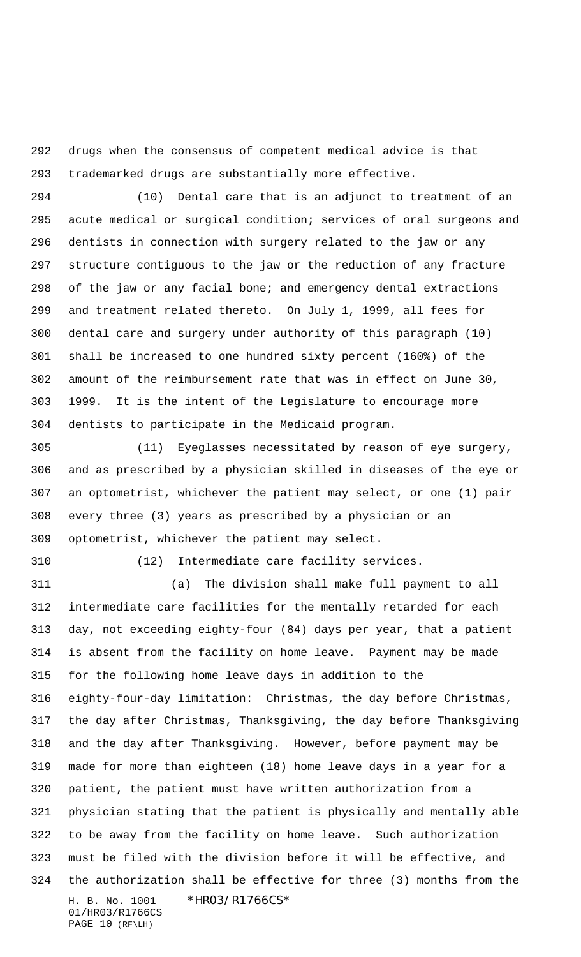drugs when the consensus of competent medical advice is that trademarked drugs are substantially more effective.

 (10) Dental care that is an adjunct to treatment of an acute medical or surgical condition; services of oral surgeons and dentists in connection with surgery related to the jaw or any structure contiguous to the jaw or the reduction of any fracture of the jaw or any facial bone; and emergency dental extractions and treatment related thereto. On July 1, 1999, all fees for dental care and surgery under authority of this paragraph (10) shall be increased to one hundred sixty percent (160%) of the amount of the reimbursement rate that was in effect on June 30, 1999. It is the intent of the Legislature to encourage more dentists to participate in the Medicaid program.

 (11) Eyeglasses necessitated by reason of eye surgery, and as prescribed by a physician skilled in diseases of the eye or an optometrist, whichever the patient may select, or one (1) pair every three (3) years as prescribed by a physician or an optometrist, whichever the patient may select.

(12) Intermediate care facility services.

H. B. No. 1001 \*HR03/R1766CS\* 01/HR03/R1766CS (a) The division shall make full payment to all intermediate care facilities for the mentally retarded for each day, not exceeding eighty-four (84) days per year, that a patient is absent from the facility on home leave. Payment may be made for the following home leave days in addition to the eighty-four-day limitation: Christmas, the day before Christmas, the day after Christmas, Thanksgiving, the day before Thanksgiving and the day after Thanksgiving. However, before payment may be made for more than eighteen (18) home leave days in a year for a patient, the patient must have written authorization from a physician stating that the patient is physically and mentally able to be away from the facility on home leave. Such authorization must be filed with the division before it will be effective, and the authorization shall be effective for three (3) months from the

PAGE 10 (RF\LH)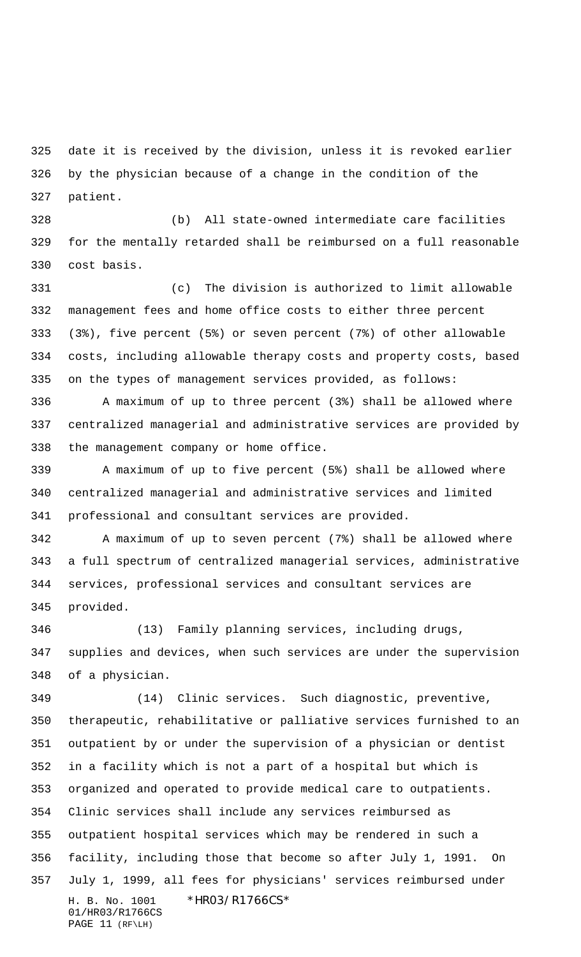date it is received by the division, unless it is revoked earlier by the physician because of a change in the condition of the patient.

 (b) All state-owned intermediate care facilities for the mentally retarded shall be reimbursed on a full reasonable cost basis.

 (c) The division is authorized to limit allowable management fees and home office costs to either three percent (3%), five percent (5%) or seven percent (7%) of other allowable costs, including allowable therapy costs and property costs, based on the types of management services provided, as follows:

 A maximum of up to three percent (3%) shall be allowed where centralized managerial and administrative services are provided by the management company or home office.

 A maximum of up to five percent (5%) shall be allowed where centralized managerial and administrative services and limited professional and consultant services are provided.

 A maximum of up to seven percent (7%) shall be allowed where a full spectrum of centralized managerial services, administrative services, professional services and consultant services are provided.

 (13) Family planning services, including drugs, supplies and devices, when such services are under the supervision of a physician.

H. B. No. 1001 \*HR03/R1766CS\* 01/HR03/R1766CS PAGE 11 (RF\LH) (14) Clinic services. Such diagnostic, preventive, therapeutic, rehabilitative or palliative services furnished to an outpatient by or under the supervision of a physician or dentist in a facility which is not a part of a hospital but which is organized and operated to provide medical care to outpatients. Clinic services shall include any services reimbursed as outpatient hospital services which may be rendered in such a facility, including those that become so after July 1, 1991. On July 1, 1999, all fees for physicians' services reimbursed under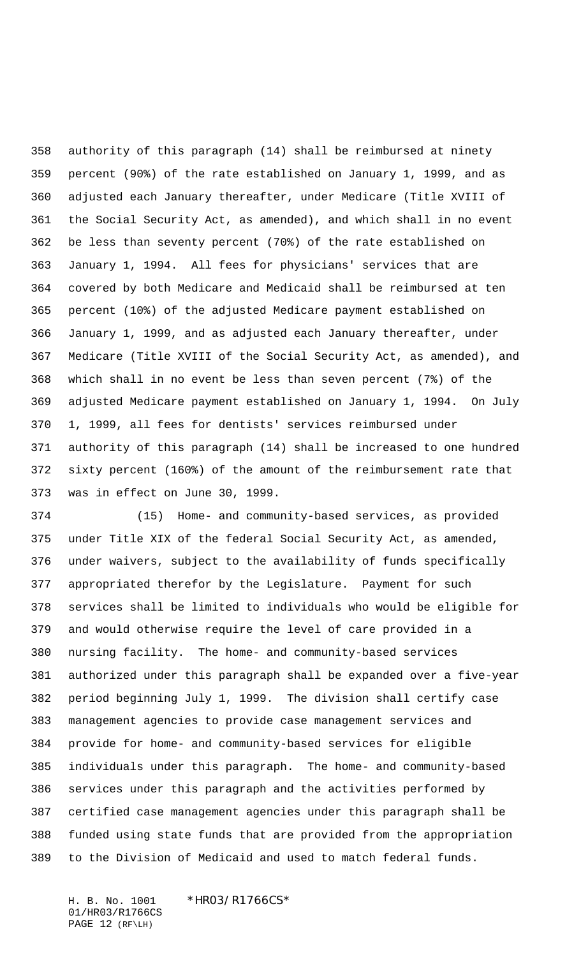authority of this paragraph (14) shall be reimbursed at ninety percent (90%) of the rate established on January 1, 1999, and as adjusted each January thereafter, under Medicare (Title XVIII of the Social Security Act, as amended), and which shall in no event be less than seventy percent (70%) of the rate established on January 1, 1994. All fees for physicians' services that are covered by both Medicare and Medicaid shall be reimbursed at ten percent (10%) of the adjusted Medicare payment established on January 1, 1999, and as adjusted each January thereafter, under Medicare (Title XVIII of the Social Security Act, as amended), and which shall in no event be less than seven percent (7%) of the adjusted Medicare payment established on January 1, 1994. On July 1, 1999, all fees for dentists' services reimbursed under authority of this paragraph (14) shall be increased to one hundred sixty percent (160%) of the amount of the reimbursement rate that was in effect on June 30, 1999.

 (15) Home- and community-based services, as provided under Title XIX of the federal Social Security Act, as amended, under waivers, subject to the availability of funds specifically appropriated therefor by the Legislature. Payment for such services shall be limited to individuals who would be eligible for and would otherwise require the level of care provided in a nursing facility. The home- and community-based services authorized under this paragraph shall be expanded over a five-year period beginning July 1, 1999. The division shall certify case management agencies to provide case management services and provide for home- and community-based services for eligible individuals under this paragraph. The home- and community-based services under this paragraph and the activities performed by certified case management agencies under this paragraph shall be funded using state funds that are provided from the appropriation to the Division of Medicaid and used to match federal funds.

H. B. No. 1001 \*HRO3/R1766CS\* 01/HR03/R1766CS PAGE 12 (RF\LH)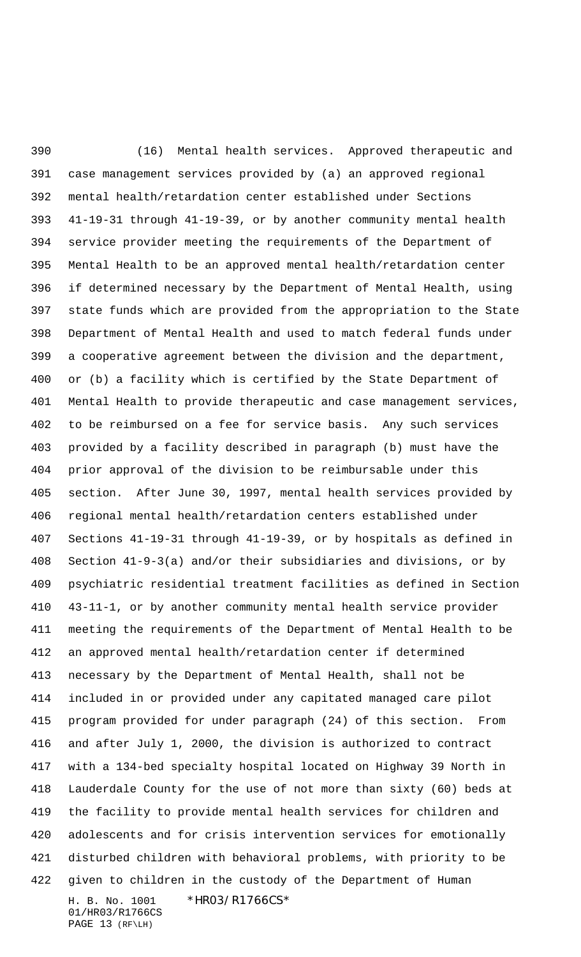H. B. No. 1001 \*HR03/R1766CS\* 01/HR03/R1766CS (16) Mental health services. Approved therapeutic and case management services provided by (a) an approved regional mental health/retardation center established under Sections 41-19-31 through 41-19-39, or by another community mental health service provider meeting the requirements of the Department of Mental Health to be an approved mental health/retardation center if determined necessary by the Department of Mental Health, using state funds which are provided from the appropriation to the State Department of Mental Health and used to match federal funds under a cooperative agreement between the division and the department, or (b) a facility which is certified by the State Department of Mental Health to provide therapeutic and case management services, to be reimbursed on a fee for service basis. Any such services provided by a facility described in paragraph (b) must have the prior approval of the division to be reimbursable under this section. After June 30, 1997, mental health services provided by regional mental health/retardation centers established under Sections 41-19-31 through 41-19-39, or by hospitals as defined in Section 41-9-3(a) and/or their subsidiaries and divisions, or by psychiatric residential treatment facilities as defined in Section 43-11-1, or by another community mental health service provider meeting the requirements of the Department of Mental Health to be an approved mental health/retardation center if determined necessary by the Department of Mental Health, shall not be included in or provided under any capitated managed care pilot program provided for under paragraph (24) of this section. From and after July 1, 2000, the division is authorized to contract with a 134-bed specialty hospital located on Highway 39 North in Lauderdale County for the use of not more than sixty (60) beds at the facility to provide mental health services for children and adolescents and for crisis intervention services for emotionally disturbed children with behavioral problems, with priority to be given to children in the custody of the Department of Human

PAGE 13 (RF\LH)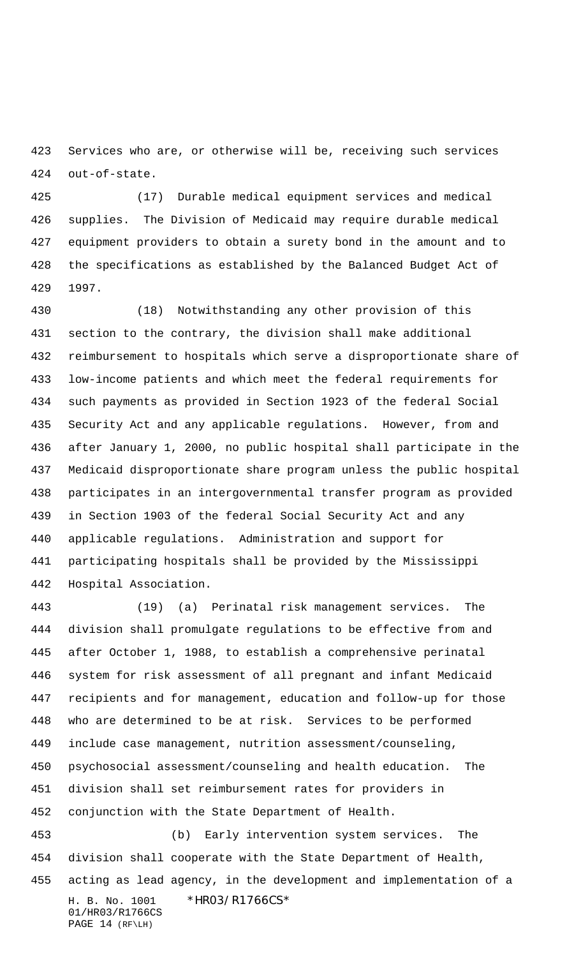Services who are, or otherwise will be, receiving such services out-of-state.

 (17) Durable medical equipment services and medical supplies. The Division of Medicaid may require durable medical equipment providers to obtain a surety bond in the amount and to the specifications as established by the Balanced Budget Act of 1997.

 (18) Notwithstanding any other provision of this section to the contrary, the division shall make additional reimbursement to hospitals which serve a disproportionate share of low-income patients and which meet the federal requirements for such payments as provided in Section 1923 of the federal Social Security Act and any applicable regulations. However, from and after January 1, 2000, no public hospital shall participate in the Medicaid disproportionate share program unless the public hospital participates in an intergovernmental transfer program as provided in Section 1903 of the federal Social Security Act and any applicable regulations. Administration and support for participating hospitals shall be provided by the Mississippi Hospital Association.

 (19) (a) Perinatal risk management services. The division shall promulgate regulations to be effective from and after October 1, 1988, to establish a comprehensive perinatal system for risk assessment of all pregnant and infant Medicaid recipients and for management, education and follow-up for those who are determined to be at risk. Services to be performed include case management, nutrition assessment/counseling, psychosocial assessment/counseling and health education. The division shall set reimbursement rates for providers in conjunction with the State Department of Health. (b) Early intervention system services. The division shall cooperate with the State Department of Health,

H. B. No. 1001 \*HR03/R1766CS\* 01/HR03/R1766CS PAGE 14 (RF\LH) acting as lead agency, in the development and implementation of a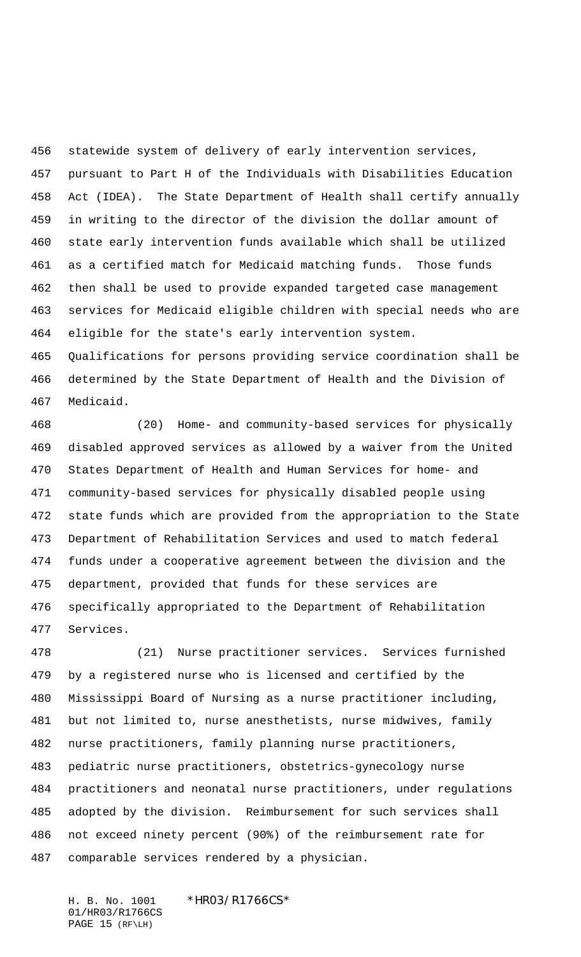statewide system of delivery of early intervention services, pursuant to Part H of the Individuals with Disabilities Education Act (IDEA). The State Department of Health shall certify annually in writing to the director of the division the dollar amount of state early intervention funds available which shall be utilized as a certified match for Medicaid matching funds. Those funds then shall be used to provide expanded targeted case management services for Medicaid eligible children with special needs who are eligible for the state's early intervention system. Qualifications for persons providing service coordination shall be

 determined by the State Department of Health and the Division of Medicaid.

 (20) Home- and community-based services for physically disabled approved services as allowed by a waiver from the United States Department of Health and Human Services for home- and community-based services for physically disabled people using state funds which are provided from the appropriation to the State Department of Rehabilitation Services and used to match federal funds under a cooperative agreement between the division and the department, provided that funds for these services are specifically appropriated to the Department of Rehabilitation Services.

 (21) Nurse practitioner services. Services furnished by a registered nurse who is licensed and certified by the Mississippi Board of Nursing as a nurse practitioner including, but not limited to, nurse anesthetists, nurse midwives, family nurse practitioners, family planning nurse practitioners, pediatric nurse practitioners, obstetrics-gynecology nurse practitioners and neonatal nurse practitioners, under regulations adopted by the division. Reimbursement for such services shall not exceed ninety percent (90%) of the reimbursement rate for comparable services rendered by a physician.

H. B. No. 1001 \*HRO3/R1766CS\* 01/HR03/R1766CS PAGE 15 (RF\LH)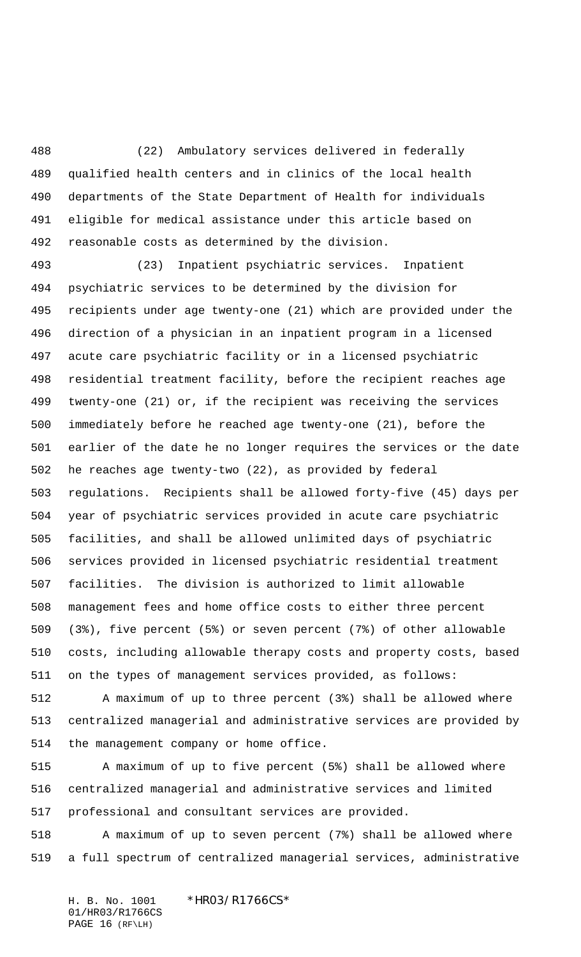(22) Ambulatory services delivered in federally qualified health centers and in clinics of the local health departments of the State Department of Health for individuals eligible for medical assistance under this article based on reasonable costs as determined by the division.

 (23) Inpatient psychiatric services. Inpatient psychiatric services to be determined by the division for recipients under age twenty-one (21) which are provided under the direction of a physician in an inpatient program in a licensed acute care psychiatric facility or in a licensed psychiatric residential treatment facility, before the recipient reaches age twenty-one (21) or, if the recipient was receiving the services immediately before he reached age twenty-one (21), before the earlier of the date he no longer requires the services or the date he reaches age twenty-two (22), as provided by federal regulations. Recipients shall be allowed forty-five (45) days per year of psychiatric services provided in acute care psychiatric facilities, and shall be allowed unlimited days of psychiatric services provided in licensed psychiatric residential treatment facilities. The division is authorized to limit allowable management fees and home office costs to either three percent (3%), five percent (5%) or seven percent (7%) of other allowable costs, including allowable therapy costs and property costs, based on the types of management services provided, as follows:

 A maximum of up to three percent (3%) shall be allowed where centralized managerial and administrative services are provided by the management company or home office.

 A maximum of up to five percent (5%) shall be allowed where centralized managerial and administrative services and limited professional and consultant services are provided.

 A maximum of up to seven percent (7%) shall be allowed where a full spectrum of centralized managerial services, administrative

H. B. No. 1001 \*HRO3/R1766CS\* 01/HR03/R1766CS PAGE 16 (RF\LH)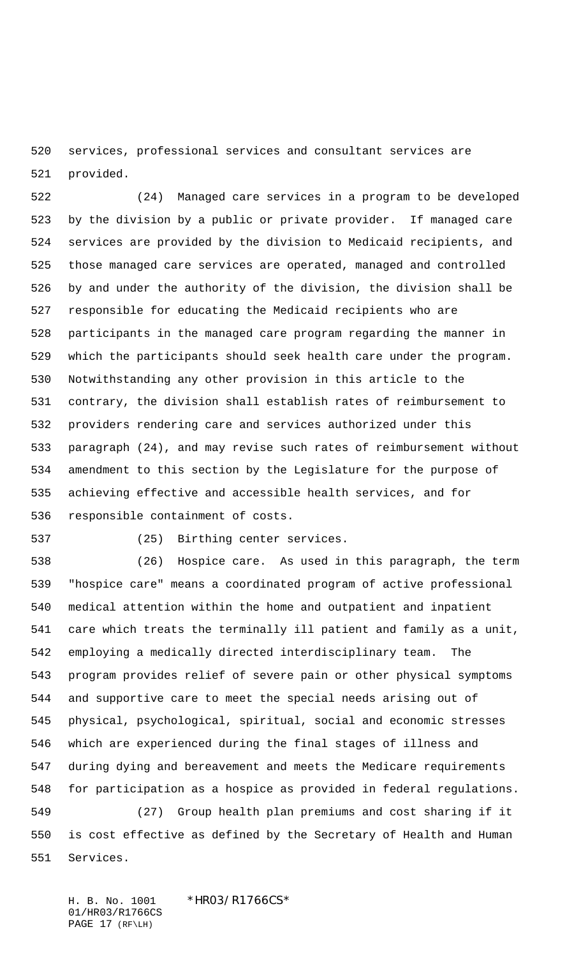services, professional services and consultant services are provided.

 (24) Managed care services in a program to be developed by the division by a public or private provider. If managed care services are provided by the division to Medicaid recipients, and those managed care services are operated, managed and controlled by and under the authority of the division, the division shall be responsible for educating the Medicaid recipients who are participants in the managed care program regarding the manner in which the participants should seek health care under the program. Notwithstanding any other provision in this article to the contrary, the division shall establish rates of reimbursement to providers rendering care and services authorized under this paragraph (24), and may revise such rates of reimbursement without amendment to this section by the Legislature for the purpose of achieving effective and accessible health services, and for responsible containment of costs.

(25) Birthing center services.

 (26) Hospice care. As used in this paragraph, the term "hospice care" means a coordinated program of active professional medical attention within the home and outpatient and inpatient care which treats the terminally ill patient and family as a unit, employing a medically directed interdisciplinary team. The program provides relief of severe pain or other physical symptoms and supportive care to meet the special needs arising out of physical, psychological, spiritual, social and economic stresses which are experienced during the final stages of illness and during dying and bereavement and meets the Medicare requirements for participation as a hospice as provided in federal regulations.

 (27) Group health plan premiums and cost sharing if it is cost effective as defined by the Secretary of Health and Human Services.

H. B. No. 1001 \*HRO3/R1766CS\* 01/HR03/R1766CS PAGE 17 (RF\LH)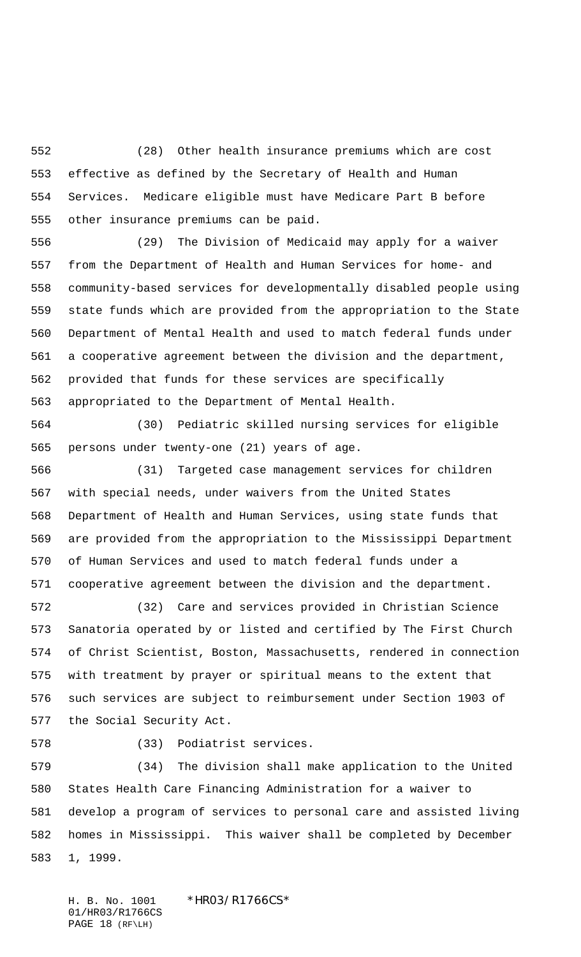(28) Other health insurance premiums which are cost effective as defined by the Secretary of Health and Human Services. Medicare eligible must have Medicare Part B before other insurance premiums can be paid.

 (29) The Division of Medicaid may apply for a waiver from the Department of Health and Human Services for home- and community-based services for developmentally disabled people using state funds which are provided from the appropriation to the State Department of Mental Health and used to match federal funds under a cooperative agreement between the division and the department, provided that funds for these services are specifically appropriated to the Department of Mental Health.

 (30) Pediatric skilled nursing services for eligible persons under twenty-one (21) years of age.

 (31) Targeted case management services for children with special needs, under waivers from the United States Department of Health and Human Services, using state funds that are provided from the appropriation to the Mississippi Department of Human Services and used to match federal funds under a cooperative agreement between the division and the department.

 (32) Care and services provided in Christian Science Sanatoria operated by or listed and certified by The First Church of Christ Scientist, Boston, Massachusetts, rendered in connection with treatment by prayer or spiritual means to the extent that such services are subject to reimbursement under Section 1903 of the Social Security Act.

(33) Podiatrist services.

 (34) The division shall make application to the United States Health Care Financing Administration for a waiver to develop a program of services to personal care and assisted living homes in Mississippi. This waiver shall be completed by December 1, 1999.

H. B. No. 1001 \*HRO3/R1766CS\* 01/HR03/R1766CS PAGE 18 (RF\LH)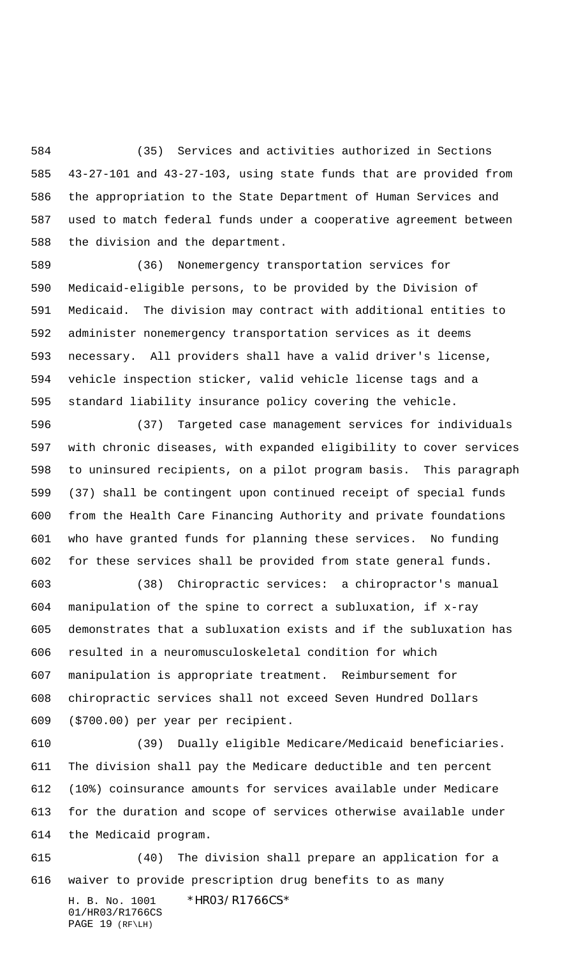(35) Services and activities authorized in Sections 43-27-101 and 43-27-103, using state funds that are provided from the appropriation to the State Department of Human Services and used to match federal funds under a cooperative agreement between the division and the department.

 (36) Nonemergency transportation services for Medicaid-eligible persons, to be provided by the Division of Medicaid. The division may contract with additional entities to administer nonemergency transportation services as it deems necessary. All providers shall have a valid driver's license, vehicle inspection sticker, valid vehicle license tags and a standard liability insurance policy covering the vehicle.

 (37) Targeted case management services for individuals with chronic diseases, with expanded eligibility to cover services to uninsured recipients, on a pilot program basis. This paragraph (37) shall be contingent upon continued receipt of special funds from the Health Care Financing Authority and private foundations who have granted funds for planning these services. No funding for these services shall be provided from state general funds.

 (38) Chiropractic services: a chiropractor's manual manipulation of the spine to correct a subluxation, if x-ray demonstrates that a subluxation exists and if the subluxation has resulted in a neuromusculoskeletal condition for which manipulation is appropriate treatment. Reimbursement for chiropractic services shall not exceed Seven Hundred Dollars (\$700.00) per year per recipient.

 (39) Dually eligible Medicare/Medicaid beneficiaries. The division shall pay the Medicare deductible and ten percent (10%) coinsurance amounts for services available under Medicare for the duration and scope of services otherwise available under the Medicaid program.

H. B. No. 1001 \*HR03/R1766CS\* (40) The division shall prepare an application for a waiver to provide prescription drug benefits to as many

01/HR03/R1766CS PAGE 19 (RF\LH)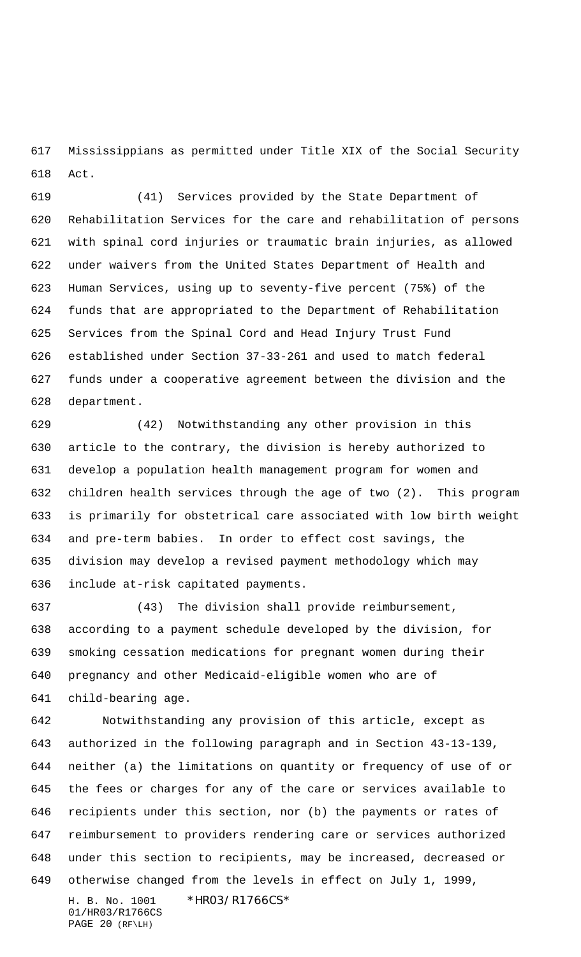Mississippians as permitted under Title XIX of the Social Security Act.

 (41) Services provided by the State Department of Rehabilitation Services for the care and rehabilitation of persons with spinal cord injuries or traumatic brain injuries, as allowed under waivers from the United States Department of Health and Human Services, using up to seventy-five percent (75%) of the funds that are appropriated to the Department of Rehabilitation Services from the Spinal Cord and Head Injury Trust Fund established under Section 37-33-261 and used to match federal funds under a cooperative agreement between the division and the department.

 (42) Notwithstanding any other provision in this article to the contrary, the division is hereby authorized to develop a population health management program for women and children health services through the age of two (2). This program is primarily for obstetrical care associated with low birth weight and pre-term babies. In order to effect cost savings, the division may develop a revised payment methodology which may include at-risk capitated payments.

 (43) The division shall provide reimbursement, according to a payment schedule developed by the division, for smoking cessation medications for pregnant women during their pregnancy and other Medicaid-eligible women who are of child-bearing age.

 Notwithstanding any provision of this article, except as authorized in the following paragraph and in Section 43-13-139, neither (a) the limitations on quantity or frequency of use of or the fees or charges for any of the care or services available to recipients under this section, nor (b) the payments or rates of reimbursement to providers rendering care or services authorized under this section to recipients, may be increased, decreased or otherwise changed from the levels in effect on July 1, 1999,

H. B. No. 1001 \*HRO3/R1766CS\* 01/HR03/R1766CS PAGE 20 (RF\LH)